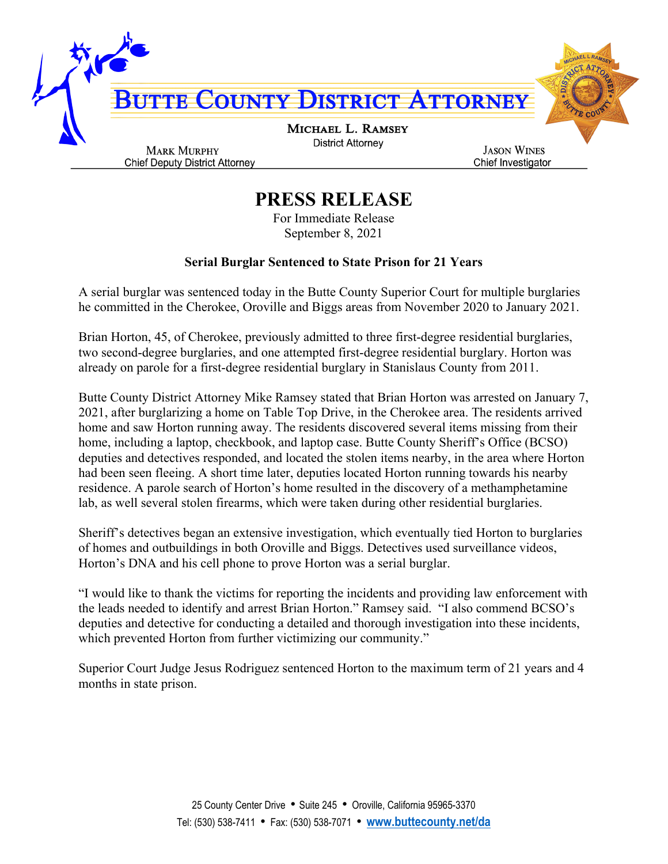

## **PRESS RELEASE**

For Immediate Release September 8, 2021

## **Serial Burglar Sentenced to State Prison for 21 Years**

A serial burglar was sentenced today in the Butte County Superior Court for multiple burglaries he committed in the Cherokee, Oroville and Biggs areas from November 2020 to January 2021.

Brian Horton, 45, of Cherokee, previously admitted to three first-degree residential burglaries, two second-degree burglaries, and one attempted first-degree residential burglary. Horton was already on parole for a first-degree residential burglary in Stanislaus County from 2011.

Butte County District Attorney Mike Ramsey stated that Brian Horton was arrested on January 7, 2021, after burglarizing a home on Table Top Drive, in the Cherokee area. The residents arrived home and saw Horton running away. The residents discovered several items missing from their home, including a laptop, checkbook, and laptop case. Butte County Sheriff's Office (BCSO) deputies and detectives responded, and located the stolen items nearby, in the area where Horton had been seen fleeing. A short time later, deputies located Horton running towards his nearby residence. A parole search of Horton's home resulted in the discovery of a methamphetamine lab, as well several stolen firearms, which were taken during other residential burglaries.

Sheriff's detectives began an extensive investigation, which eventually tied Horton to burglaries of homes and outbuildings in both Oroville and Biggs. Detectives used surveillance videos, Horton's DNA and his cell phone to prove Horton was a serial burglar.

"I would like to thank the victims for reporting the incidents and providing law enforcement with the leads needed to identify and arrest Brian Horton." Ramsey said. "I also commend BCSO's deputies and detective for conducting a detailed and thorough investigation into these incidents, which prevented Horton from further victimizing our community."

Superior Court Judge Jesus Rodriguez sentenced Horton to the maximum term of 21 years and 4 months in state prison.